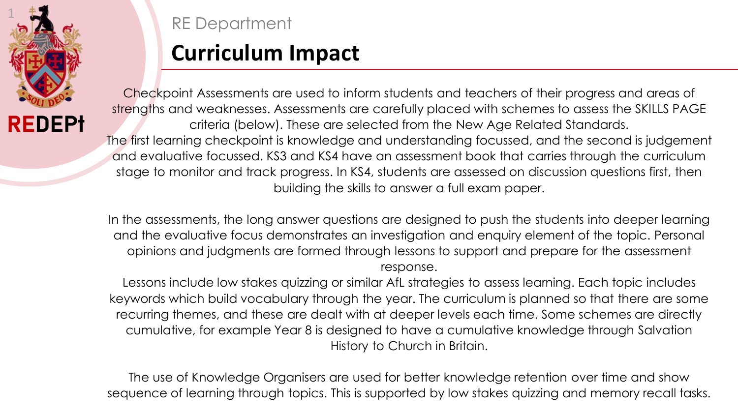

## RE Department

## **Curriculum Impact**

Checkpoint Assessments are used to inform students and teachers of their progress and areas of strengths and weaknesses. Assessments are carefully placed with schemes to assess the SKILLS PAGE criteria (below). These are selected from the New Age Related Standards. The first learning checkpoint is knowledge and understanding focussed, and the second is judgement and evaluative focussed. KS3 and KS4 have an assessment book that carries through the curriculum stage to monitor and track progress. In KS4, students are assessed on discussion questions first, then building the skills to answer a full exam paper.

In the assessments, the long answer questions are designed to push the students into deeper learning and the evaluative focus demonstrates an investigation and enquiry element of the topic. Personal opinions and judgments are formed through lessons to support and prepare for the assessment response.

Lessons include low stakes quizzing or similar AfL strategies to assess learning. Each topic includes keywords which build vocabulary through the year. The curriculum is planned so that there are some recurring themes, and these are dealt with at deeper levels each time. Some schemes are directly cumulative, for example Year 8 is designed to have a cumulative knowledge through Salvation History to Church in Britain.

The use of Knowledge Organisers are used for better knowledge retention over time and show sequence of learning through topics. This is supported by low stakes quizzing and memory recall tasks.